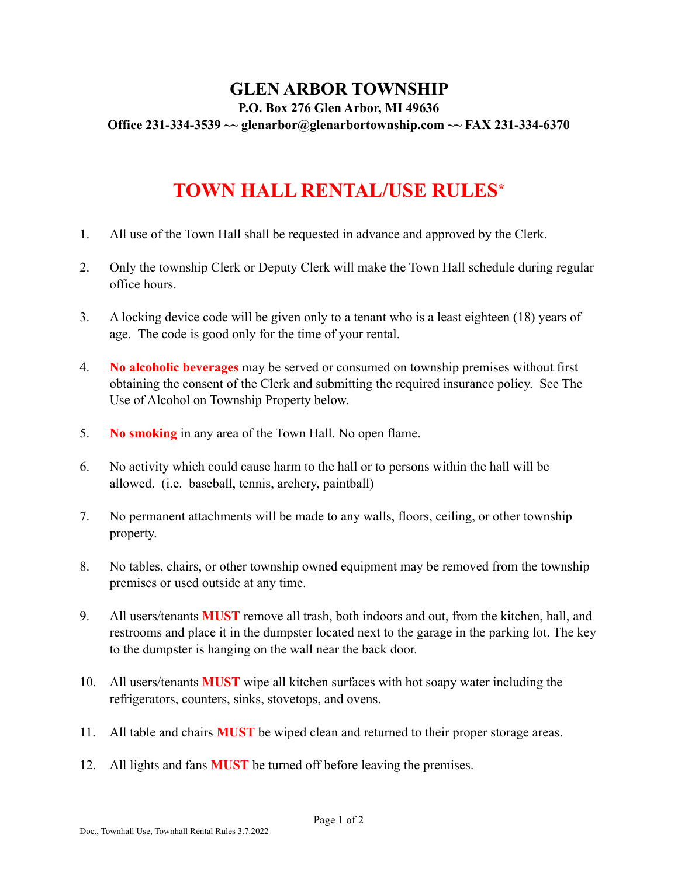## **GLEN ARBOR TOWNSHIP P.O. Box 276 Glen Arbor, MI 49636 Office 231-334-3539 [~~ glenarbor@glenarbortownship.com](mailto:~~%20glenarbor@glenarbortownship.com) ~~ FAX 231-334-6370**

## **TOWN HALL RENTAL/USE RULES\***

- 1. All use of the Town Hall shall be requested in advance and approved by the Clerk.
- 2. Only the township Clerk or Deputy Clerk will make the Town Hall schedule during regular office hours.
- 3. A locking device code will be given only to a tenant who is a least eighteen (18) years of age. The code is good only for the time of your rental.
- 4. **No alcoholic beverages** may be served or consumed on township premises without first obtaining the consent of the Clerk and submitting the required insurance policy. See The Use of Alcohol on Township Property below.
- 5. **No smoking** in any area of the Town Hall. No open flame.
- 6. No activity which could cause harm to the hall or to persons within the hall will be allowed. (i.e. baseball, tennis, archery, paintball)
- 7. No permanent attachments will be made to any walls, floors, ceiling, or other township property.
- 8. No tables, chairs, or other township owned equipment may be removed from the township premises or used outside at any time.
- 9. All users/tenants **MUST** remove all trash, both indoors and out, from the kitchen, hall, and restrooms and place it in the dumpster located next to the garage in the parking lot. The key to the dumpster is hanging on the wall near the back door.
- 10. All users/tenants **MUST** wipe all kitchen surfaces with hot soapy water including the refrigerators, counters, sinks, stovetops, and ovens.
- 11. All table and chairs **MUST** be wiped clean and returned to their proper storage areas.
- 12. All lights and fans **MUST** be turned off before leaving the premises.